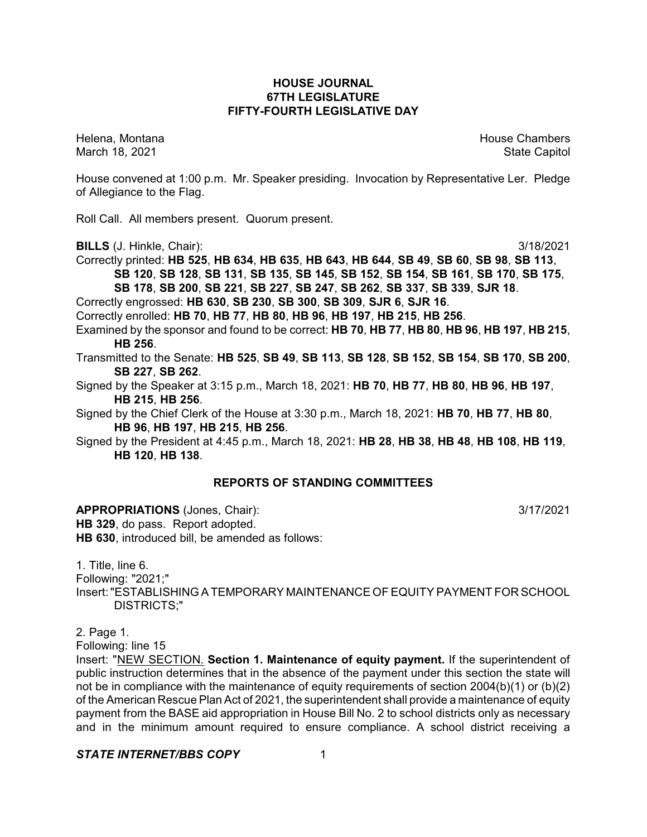### **HOUSE JOURNAL 67TH LEGISLATURE FIFTY-FOURTH LEGISLATIVE DAY**

Helena, Montana House Chambers Chambers Chambers Chambers Chambers Chambers Chambers Chambers Chambers Chambers March 18, 2021 **State Capitol** 

House convened at 1:00 p.m. Mr. Speaker presiding. Invocation by Representative Ler. Pledge of Allegiance to the Flag.

Roll Call. All members present. Quorum present.

**BILLS** (J. Hinkle, Chair): 3/18/2021

Correctly printed: **HB 525**, **HB 634**, **HB 635**, **HB 643**, **HB 644**, **SB 49**, **SB 60**, **SB 98**, **SB 113**, **SB 120**, **SB 128**, **SB 131**, **SB 135**, **SB 145**, **SB 152**, **SB 154**, **SB 161**, **SB 170**, **SB 175**, **SB 178**, **SB 200**, **SB 221**, **SB 227**, **SB 247**, **SB 262**, **SB 337**, **SB 339**, **SJR 18**.

Correctly engrossed: **HB 630**, **SB 230**, **SB 300**, **SB 309**, **SJR 6**, **SJR 16**.

Correctly enrolled: **HB 70**, **HB 77**, **HB 80**, **HB 96**, **HB 197**, **HB 215**, **HB 256**.

Examined by the sponsor and found to be correct: **HB 70**, **HB 77**, **HB 80**, **HB 96**, **HB 197**, **HB 215**, **HB 256**.

Transmitted to the Senate: **HB 525**, **SB 49**, **SB 113**, **SB 128**, **SB 152**, **SB 154**, **SB 170**, **SB 200**, **SB 227**, **SB 262**.

Signed by the Speaker at 3:15 p.m., March 18, 2021: **HB 70**, **HB 77**, **HB 80**, **HB 96**, **HB 197**, **HB 215**, **HB 256**.

Signed by the Chief Clerk of the House at 3:30 p.m., March 18, 2021: **HB 70**, **HB 77**, **HB 80**, **HB 96**, **HB 197**, **HB 215**, **HB 256**.

Signed by the President at 4:45 p.m., March 18, 2021: **HB 28**, **HB 38**, **HB 48**, **HB 108**, **HB 119**, **HB 120**, **HB 138**.

# **REPORTS OF STANDING COMMITTEES**

**APPROPRIATIONS** (Jones, Chair): 3/17/2021 **HB 329**, do pass. Report adopted. **HB 630**, introduced bill, be amended as follows:

1. Title, line 6. Following: "2021;" Insert:"ESTABLISHING A TEMPORARY MAINTENANCE OF EQUITY PAYMENT FOR SCHOOL DISTRICTS;"

2. Page 1.

Following: line 15

Insert: "NEW SECTION. **Section 1. Maintenance of equity payment.** If the superintendent of public instruction determines that in the absence of the payment under this section the state will not be in compliance with the maintenance of equity requirements of section 2004(b)(1) or (b)(2) of the American Rescue Plan Act of 2021, the superintendent shall provide a maintenance of equity payment from the BASE aid appropriation in House Bill No. 2 to school districts only as necessary and in the minimum amount required to ensure compliance. A school district receiving a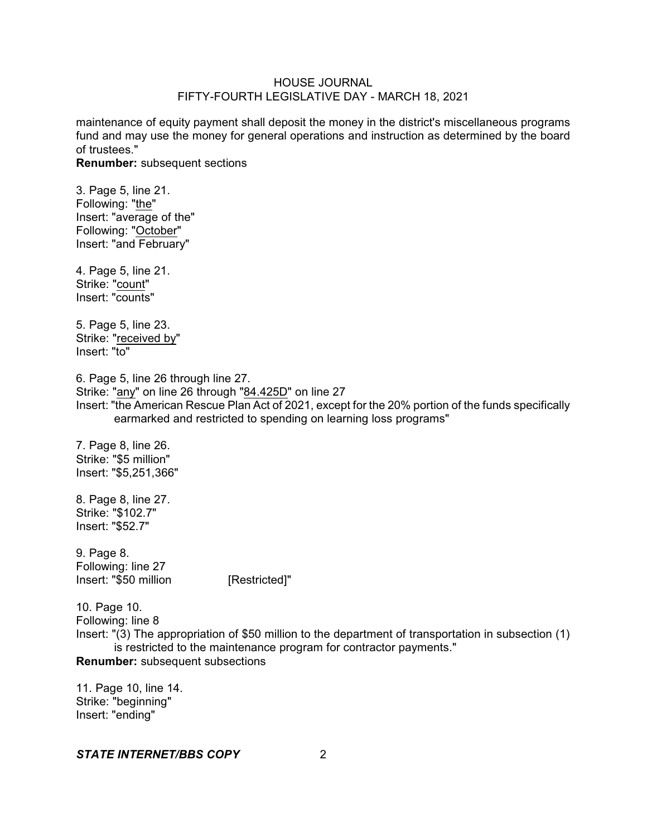maintenance of equity payment shall deposit the money in the district's miscellaneous programs fund and may use the money for general operations and instruction as determined by the board of trustees."

**Renumber:** subsequent sections

3. Page 5, line 21. Following: "the" Insert: "average of the" Following: "October" Insert: "and February"

4. Page 5, line 21. Strike: "count" Insert: "counts"

5. Page 5, line 23. Strike: "received by" Insert: "to"

6. Page 5, line 26 through line 27. Strike: "any" on line 26 through "84.425D" on line 27 Insert: "the American Rescue Plan Act of 2021, except for the 20% portion of the funds specifically earmarked and restricted to spending on learning loss programs"

7. Page 8, line 26. Strike: "\$5 million" Insert: "\$5,251,366"

8. Page 8, line 27. Strike: "\$102.7" Insert: "\$52.7"

9. Page 8. Following: line 27 Insert: "\$50 million [Restricted]"

10. Page 10. Following: line 8 Insert: "(3) The appropriation of \$50 million to the department of transportation in subsection (1) is restricted to the maintenance program for contractor payments." **Renumber:** subsequent subsections

11. Page 10, line 14. Strike: "beginning" Insert: "ending"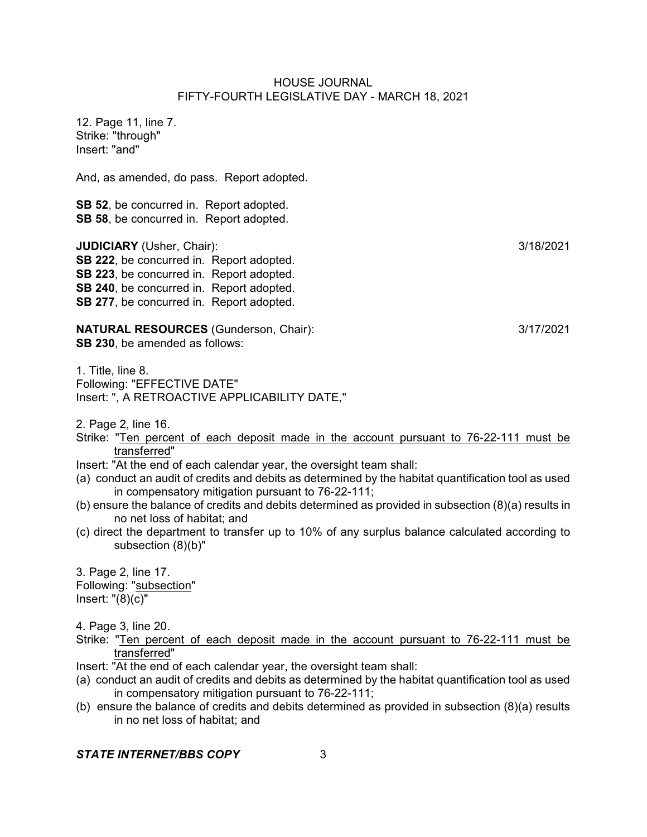12. Page 11, line 7. Strike: "through" Insert: "and"

And, as amended, do pass. Report adopted.

**SB 52**, be concurred in. Report adopted. **SB 58**, be concurred in. Report adopted.

**JUDICIARY** (Usher, Chair): 3/18/2021 **SB 222**, be concurred in. Report adopted. **SB 223**, be concurred in. Report adopted. **SB 240**, be concurred in. Report adopted. **SB 277**, be concurred in. Report adopted.

**NATURAL RESOURCES** (Gunderson, Chair): 3/17/2021 **SB 230**, be amended as follows:

1. Title, line 8. Following: "EFFECTIVE DATE" Insert: ", A RETROACTIVE APPLICABILITY DATE,"

2. Page 2, line 16.

- Strike: "Ten percent of each deposit made in the account pursuant to 76-22-111 must be transferred"
- Insert: "At the end of each calendar year, the oversight team shall:
- (a) conduct an audit of credits and debits as determined by the habitat quantification tool as used in compensatory mitigation pursuant to 76-22-111;
- (b) ensure the balance of credits and debits determined as provided in subsection (8)(a) results in no net loss of habitat; and
- (c) direct the department to transfer up to 10% of any surplus balance calculated according to subsection (8)(b)"

3. Page 2, line 17. Following: "subsection" Insert:  $"(8)(c)"$ 

4. Page 3, line 20.

- Strike: "Ten percent of each deposit made in the account pursuant to 76-22-111 must be transferred"
- Insert: "At the end of each calendar year, the oversight team shall:
- (a) conduct an audit of credits and debits as determined by the habitat quantification tool as used in compensatory mitigation pursuant to 76-22-111;
- (b) ensure the balance of credits and debits determined as provided in subsection (8)(a) results in no net loss of habitat; and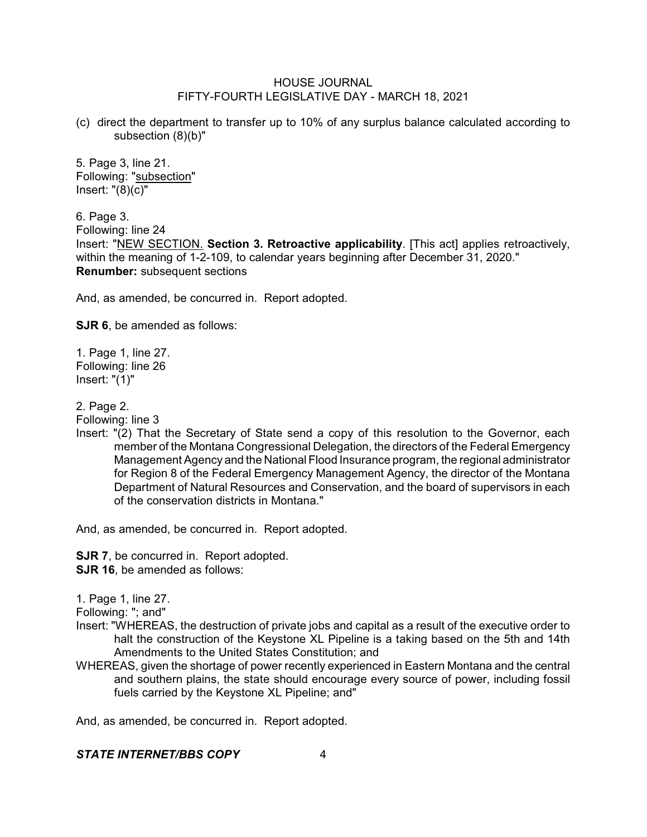(c) direct the department to transfer up to 10% of any surplus balance calculated according to subsection (8)(b)"

5. Page 3, line 21. Following: "subsection" Insert: "(8)(c)"

6. Page 3. Following: line 24 Insert: "NEW SECTION. **Section 3. Retroactive applicability**. [This act] applies retroactively, within the meaning of 1-2-109, to calendar years beginning after December 31, 2020." **Renumber:** subsequent sections

And, as amended, be concurred in. Report adopted.

**SJR 6**, be amended as follows:

1. Page 1, line 27. Following: line 26 Insert: "(1)"

2. Page 2.

Following: line 3

Insert: "(2) That the Secretary of State send a copy of this resolution to the Governor, each member of the Montana Congressional Delegation, the directors of the Federal Emergency Management Agency and the National Flood Insurance program, the regional administrator for Region 8 of the Federal Emergency Management Agency, the director of the Montana Department of Natural Resources and Conservation, and the board of supervisors in each of the conservation districts in Montana."

And, as amended, be concurred in. Report adopted.

**SJR 7, be concurred in. Report adopted. SJR 16**, be amended as follows:

1. Page 1, line 27.

Following: "; and"

- Insert: "WHEREAS, the destruction of private jobs and capital as a result of the executive order to halt the construction of the Keystone XL Pipeline is a taking based on the 5th and 14th Amendments to the United States Constitution; and
- WHEREAS, given the shortage of power recently experienced in Eastern Montana and the central and southern plains, the state should encourage every source of power, including fossil fuels carried by the Keystone XL Pipeline; and"

And, as amended, be concurred in. Report adopted.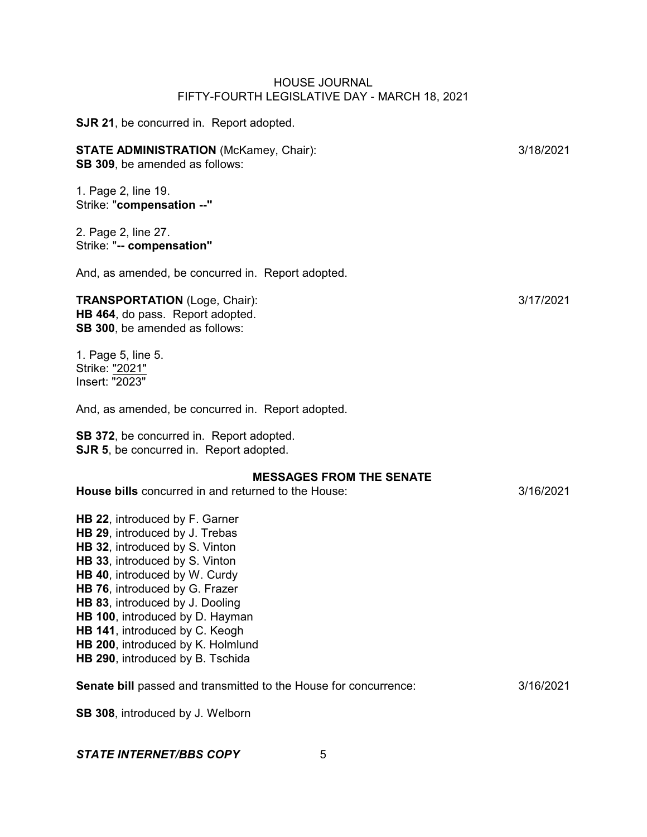| <b>SJR 21, be concurred in. Report adopted.</b>                                                                                                                                                                                                                                                                                                                                          |           |
|------------------------------------------------------------------------------------------------------------------------------------------------------------------------------------------------------------------------------------------------------------------------------------------------------------------------------------------------------------------------------------------|-----------|
| <b>STATE ADMINISTRATION (McKamey, Chair):</b><br>SB 309, be amended as follows:                                                                                                                                                                                                                                                                                                          | 3/18/2021 |
| 1. Page 2, line 19.<br>Strike: "compensation --"                                                                                                                                                                                                                                                                                                                                         |           |
| 2. Page 2, line 27.<br>Strike: "-- compensation"                                                                                                                                                                                                                                                                                                                                         |           |
| And, as amended, be concurred in. Report adopted.                                                                                                                                                                                                                                                                                                                                        |           |
| <b>TRANSPORTATION</b> (Loge, Chair):<br>HB 464, do pass. Report adopted.<br>SB 300, be amended as follows:                                                                                                                                                                                                                                                                               | 3/17/2021 |
| 1. Page 5, line 5.<br>Strike: "2021"<br>Insert: "2023"                                                                                                                                                                                                                                                                                                                                   |           |
| And, as amended, be concurred in. Report adopted.                                                                                                                                                                                                                                                                                                                                        |           |
| SB 372, be concurred in. Report adopted.<br><b>SJR 5, be concurred in. Report adopted.</b>                                                                                                                                                                                                                                                                                               |           |
| <b>MESSAGES FROM THE SENATE</b><br>House bills concurred in and returned to the House:                                                                                                                                                                                                                                                                                                   | 3/16/2021 |
| HB 22, introduced by F. Garner<br>HB 29, introduced by J. Trebas<br>HB 32, introduced by S. Vinton<br>HB 33, introduced by S. Vinton<br>HB 40, introduced by W. Curdy<br>HB 76, introduced by G. Frazer<br>HB 83, introduced by J. Dooling<br>HB 100, introduced by D. Hayman<br>HB 141, introduced by C. Keogh<br>HB 200, introduced by K. Holmlund<br>HB 290, introduced by B. Tschida |           |
| Senate bill passed and transmitted to the House for concurrence:                                                                                                                                                                                                                                                                                                                         | 3/16/2021 |
| SB 308, introduced by J. Welborn                                                                                                                                                                                                                                                                                                                                                         |           |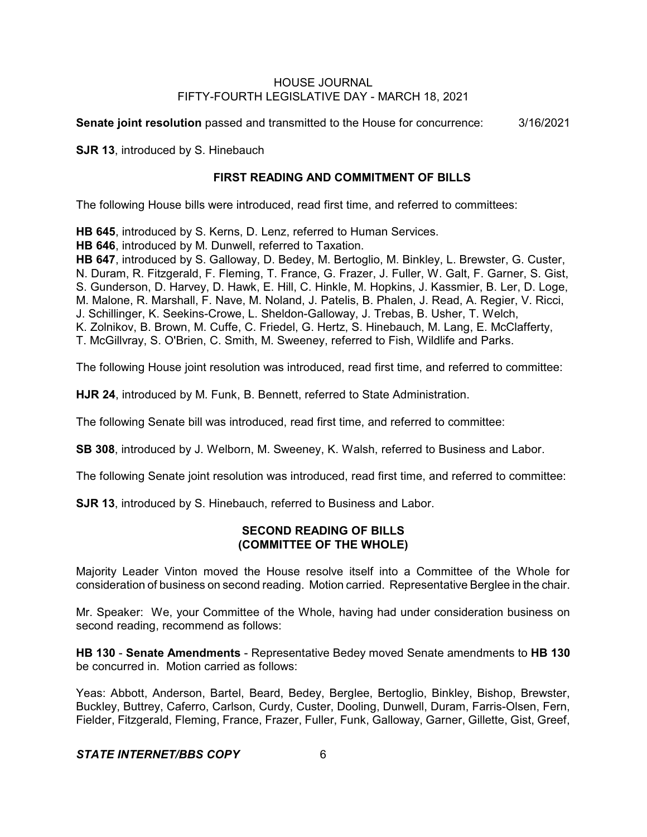**Senate joint resolution** passed and transmitted to the House for concurrence: 3/16/2021

**SJR 13**, introduced by S. Hinebauch

# **FIRST READING AND COMMITMENT OF BILLS**

The following House bills were introduced, read first time, and referred to committees:

**HB 645**, introduced by S. Kerns, D. Lenz, referred to Human Services.

**HB 646**, introduced by M. Dunwell, referred to Taxation.

**HB 647**, introduced by S. Galloway, D. Bedey, M. Bertoglio, M. Binkley, L. Brewster, G. Custer, N. Duram, R. Fitzgerald, F. Fleming, T. France, G. Frazer, J. Fuller, W. Galt, F. Garner, S. Gist, S. Gunderson, D. Harvey, D. Hawk, E. Hill, C. Hinkle, M. Hopkins, J. Kassmier, B. Ler, D. Loge, M. Malone, R. Marshall, F. Nave, M. Noland, J. Patelis, B. Phalen, J. Read, A. Regier, V. Ricci, J. Schillinger, K. Seekins-Crowe, L. Sheldon-Galloway, J. Trebas, B. Usher, T. Welch, K. Zolnikov, B. Brown, M. Cuffe, C. Friedel, G. Hertz, S. Hinebauch, M. Lang, E. McClafferty, T. McGillvray, S. O'Brien, C. Smith, M. Sweeney, referred to Fish, Wildlife and Parks.

The following House joint resolution was introduced, read first time, and referred to committee:

**HJR 24**, introduced by M. Funk, B. Bennett, referred to State Administration.

The following Senate bill was introduced, read first time, and referred to committee:

**SB 308**, introduced by J. Welborn, M. Sweeney, K. Walsh, referred to Business and Labor.

The following Senate joint resolution was introduced, read first time, and referred to committee:

**SJR 13**, introduced by S. Hinebauch, referred to Business and Labor.

# **SECOND READING OF BILLS (COMMITTEE OF THE WHOLE)**

Majority Leader Vinton moved the House resolve itself into a Committee of the Whole for consideration of business on second reading. Motion carried. Representative Berglee in the chair.

Mr. Speaker: We, your Committee of the Whole, having had under consideration business on second reading, recommend as follows:

**HB 130** - **Senate Amendments** - Representative Bedey moved Senate amendments to **HB 130** be concurred in. Motion carried as follows:

Yeas: Abbott, Anderson, Bartel, Beard, Bedey, Berglee, Bertoglio, Binkley, Bishop, Brewster, Buckley, Buttrey, Caferro, Carlson, Curdy, Custer, Dooling, Dunwell, Duram, Farris-Olsen, Fern, Fielder, Fitzgerald, Fleming, France, Frazer, Fuller, Funk, Galloway, Garner, Gillette, Gist, Greef,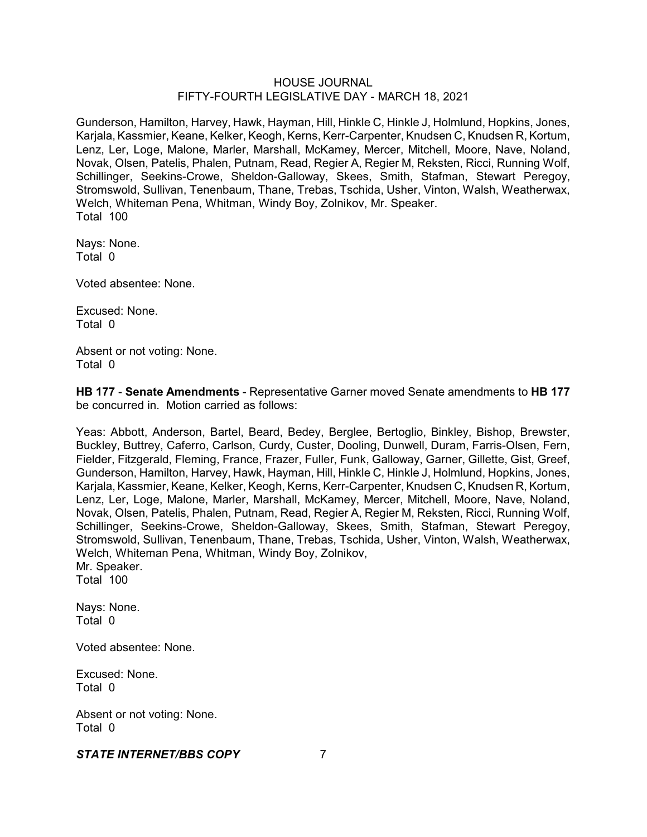Gunderson, Hamilton, Harvey, Hawk, Hayman, Hill, Hinkle C, Hinkle J, Holmlund, Hopkins, Jones, Karjala, Kassmier, Keane, Kelker, Keogh, Kerns, Kerr-Carpenter, Knudsen C, Knudsen R, Kortum, Lenz, Ler, Loge, Malone, Marler, Marshall, McKamey, Mercer, Mitchell, Moore, Nave, Noland, Novak, Olsen, Patelis, Phalen, Putnam, Read, Regier A, Regier M, Reksten, Ricci, Running Wolf, Schillinger, Seekins-Crowe, Sheldon-Galloway, Skees, Smith, Stafman, Stewart Peregoy, Stromswold, Sullivan, Tenenbaum, Thane, Trebas, Tschida, Usher, Vinton, Walsh, Weatherwax, Welch, Whiteman Pena, Whitman, Windy Boy, Zolnikov, Mr. Speaker. Total 100

Nays: None. Total 0

Voted absentee: None.

Excused: None. Total 0

Absent or not voting: None. Total 0

**HB 177** - **Senate Amendments** - Representative Garner moved Senate amendments to **HB 177** be concurred in. Motion carried as follows:

Yeas: Abbott, Anderson, Bartel, Beard, Bedey, Berglee, Bertoglio, Binkley, Bishop, Brewster, Buckley, Buttrey, Caferro, Carlson, Curdy, Custer, Dooling, Dunwell, Duram, Farris-Olsen, Fern, Fielder, Fitzgerald, Fleming, France, Frazer, Fuller, Funk, Galloway, Garner, Gillette, Gist, Greef, Gunderson, Hamilton, Harvey, Hawk, Hayman, Hill, Hinkle C, Hinkle J, Holmlund, Hopkins, Jones, Karjala, Kassmier, Keane, Kelker, Keogh, Kerns, Kerr-Carpenter, Knudsen C, Knudsen R, Kortum, Lenz, Ler, Loge, Malone, Marler, Marshall, McKamey, Mercer, Mitchell, Moore, Nave, Noland, Novak, Olsen, Patelis, Phalen, Putnam, Read, Regier A, Regier M, Reksten, Ricci, Running Wolf, Schillinger, Seekins-Crowe, Sheldon-Galloway, Skees, Smith, Stafman, Stewart Peregoy, Stromswold, Sullivan, Tenenbaum, Thane, Trebas, Tschida, Usher, Vinton, Walsh, Weatherwax, Welch, Whiteman Pena, Whitman, Windy Boy, Zolnikov,

Mr. Speaker. Total 100

Nays: None. Total 0

Voted absentee: None.

Excused: None. Total 0

Absent or not voting: None. Total 0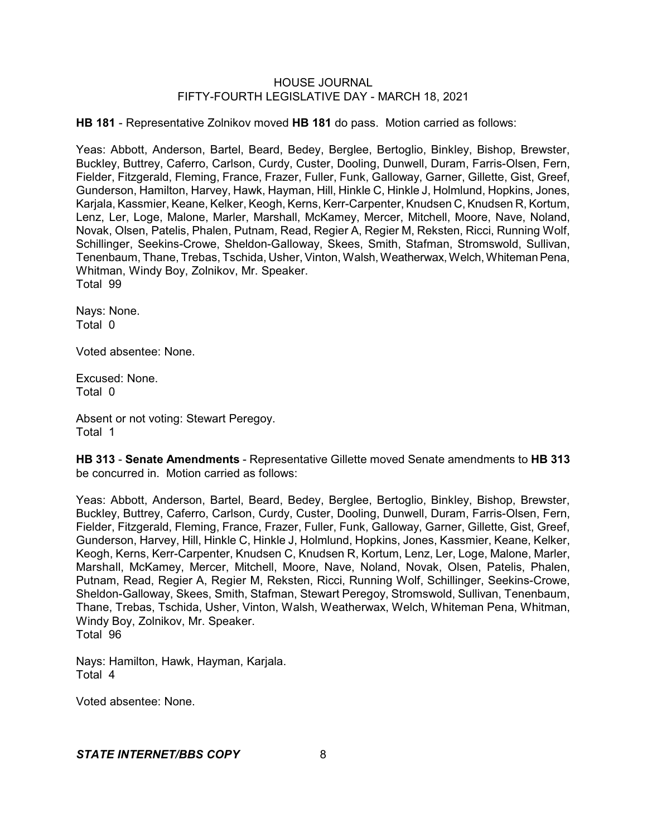**HB 181** - Representative Zolnikov moved **HB 181** do pass. Motion carried as follows:

Yeas: Abbott, Anderson, Bartel, Beard, Bedey, Berglee, Bertoglio, Binkley, Bishop, Brewster, Buckley, Buttrey, Caferro, Carlson, Curdy, Custer, Dooling, Dunwell, Duram, Farris-Olsen, Fern, Fielder, Fitzgerald, Fleming, France, Frazer, Fuller, Funk, Galloway, Garner, Gillette, Gist, Greef, Gunderson, Hamilton, Harvey, Hawk, Hayman, Hill, Hinkle C, Hinkle J, Holmlund, Hopkins, Jones, Karjala, Kassmier, Keane, Kelker, Keogh, Kerns, Kerr-Carpenter, Knudsen C, Knudsen R, Kortum, Lenz, Ler, Loge, Malone, Marler, Marshall, McKamey, Mercer, Mitchell, Moore, Nave, Noland, Novak, Olsen, Patelis, Phalen, Putnam, Read, Regier A, Regier M, Reksten, Ricci, Running Wolf, Schillinger, Seekins-Crowe, Sheldon-Galloway, Skees, Smith, Stafman, Stromswold, Sullivan, Tenenbaum, Thane, Trebas, Tschida, Usher, Vinton, Walsh, Weatherwax, Welch, Whiteman Pena, Whitman, Windy Boy, Zolnikov, Mr. Speaker. Total 99

Nays: None. Total 0

Voted absentee: None.

Excused: None. Total 0

Absent or not voting: Stewart Peregoy. Total 1

**HB 313** - **Senate Amendments** - Representative Gillette moved Senate amendments to **HB 313** be concurred in. Motion carried as follows:

Yeas: Abbott, Anderson, Bartel, Beard, Bedey, Berglee, Bertoglio, Binkley, Bishop, Brewster, Buckley, Buttrey, Caferro, Carlson, Curdy, Custer, Dooling, Dunwell, Duram, Farris-Olsen, Fern, Fielder, Fitzgerald, Fleming, France, Frazer, Fuller, Funk, Galloway, Garner, Gillette, Gist, Greef, Gunderson, Harvey, Hill, Hinkle C, Hinkle J, Holmlund, Hopkins, Jones, Kassmier, Keane, Kelker, Keogh, Kerns, Kerr-Carpenter, Knudsen C, Knudsen R, Kortum, Lenz, Ler, Loge, Malone, Marler, Marshall, McKamey, Mercer, Mitchell, Moore, Nave, Noland, Novak, Olsen, Patelis, Phalen, Putnam, Read, Regier A, Regier M, Reksten, Ricci, Running Wolf, Schillinger, Seekins-Crowe, Sheldon-Galloway, Skees, Smith, Stafman, Stewart Peregoy, Stromswold, Sullivan, Tenenbaum, Thane, Trebas, Tschida, Usher, Vinton, Walsh, Weatherwax, Welch, Whiteman Pena, Whitman, Windy Boy, Zolnikov, Mr. Speaker.

Total 96

Nays: Hamilton, Hawk, Hayman, Karjala. Total 4

Voted absentee: None.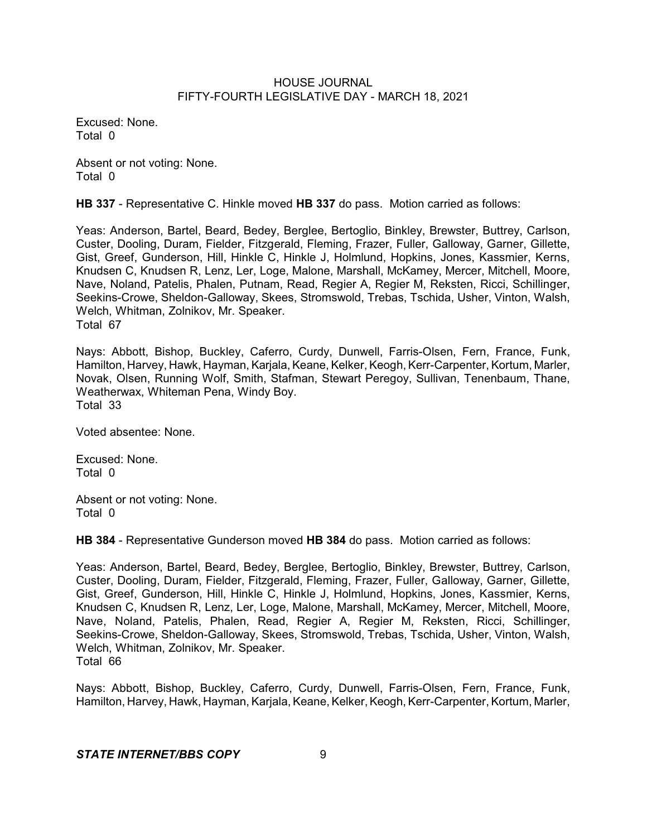Excused: None. Total 0

Absent or not voting: None. Total 0

**HB 337** - Representative C. Hinkle moved **HB 337** do pass. Motion carried as follows:

Yeas: Anderson, Bartel, Beard, Bedey, Berglee, Bertoglio, Binkley, Brewster, Buttrey, Carlson, Custer, Dooling, Duram, Fielder, Fitzgerald, Fleming, Frazer, Fuller, Galloway, Garner, Gillette, Gist, Greef, Gunderson, Hill, Hinkle C, Hinkle J, Holmlund, Hopkins, Jones, Kassmier, Kerns, Knudsen C, Knudsen R, Lenz, Ler, Loge, Malone, Marshall, McKamey, Mercer, Mitchell, Moore, Nave, Noland, Patelis, Phalen, Putnam, Read, Regier A, Regier M, Reksten, Ricci, Schillinger, Seekins-Crowe, Sheldon-Galloway, Skees, Stromswold, Trebas, Tschida, Usher, Vinton, Walsh, Welch, Whitman, Zolnikov, Mr. Speaker. Total 67

Nays: Abbott, Bishop, Buckley, Caferro, Curdy, Dunwell, Farris-Olsen, Fern, France, Funk, Hamilton, Harvey, Hawk, Hayman, Karjala, Keane, Kelker, Keogh, Kerr-Carpenter, Kortum, Marler, Novak, Olsen, Running Wolf, Smith, Stafman, Stewart Peregoy, Sullivan, Tenenbaum, Thane, Weatherwax, Whiteman Pena, Windy Boy. Total 33

Voted absentee: None.

Excused: None. Total 0

Absent or not voting: None. Total 0

**HB 384** - Representative Gunderson moved **HB 384** do pass. Motion carried as follows:

Yeas: Anderson, Bartel, Beard, Bedey, Berglee, Bertoglio, Binkley, Brewster, Buttrey, Carlson, Custer, Dooling, Duram, Fielder, Fitzgerald, Fleming, Frazer, Fuller, Galloway, Garner, Gillette, Gist, Greef, Gunderson, Hill, Hinkle C, Hinkle J, Holmlund, Hopkins, Jones, Kassmier, Kerns, Knudsen C, Knudsen R, Lenz, Ler, Loge, Malone, Marshall, McKamey, Mercer, Mitchell, Moore, Nave, Noland, Patelis, Phalen, Read, Regier A, Regier M, Reksten, Ricci, Schillinger, Seekins-Crowe, Sheldon-Galloway, Skees, Stromswold, Trebas, Tschida, Usher, Vinton, Walsh, Welch, Whitman, Zolnikov, Mr. Speaker. Total 66

Nays: Abbott, Bishop, Buckley, Caferro, Curdy, Dunwell, Farris-Olsen, Fern, France, Funk, Hamilton, Harvey, Hawk, Hayman, Karjala, Keane, Kelker, Keogh, Kerr-Carpenter, Kortum, Marler,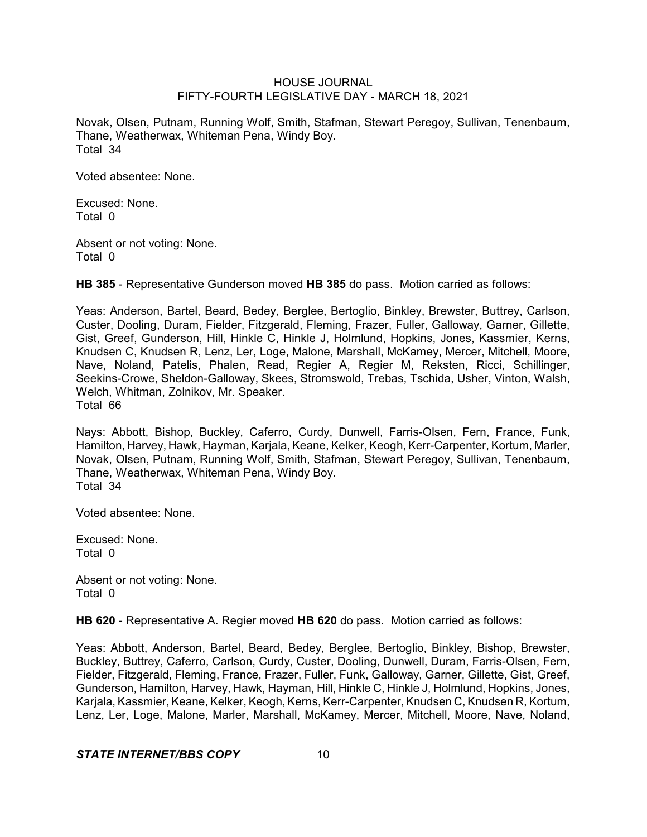Novak, Olsen, Putnam, Running Wolf, Smith, Stafman, Stewart Peregoy, Sullivan, Tenenbaum, Thane, Weatherwax, Whiteman Pena, Windy Boy. Total 34

Voted absentee: None.

Excused: None. Total 0

Absent or not voting: None. Total 0

**HB 385** - Representative Gunderson moved **HB 385** do pass. Motion carried as follows:

Yeas: Anderson, Bartel, Beard, Bedey, Berglee, Bertoglio, Binkley, Brewster, Buttrey, Carlson, Custer, Dooling, Duram, Fielder, Fitzgerald, Fleming, Frazer, Fuller, Galloway, Garner, Gillette, Gist, Greef, Gunderson, Hill, Hinkle C, Hinkle J, Holmlund, Hopkins, Jones, Kassmier, Kerns, Knudsen C, Knudsen R, Lenz, Ler, Loge, Malone, Marshall, McKamey, Mercer, Mitchell, Moore, Nave, Noland, Patelis, Phalen, Read, Regier A, Regier M, Reksten, Ricci, Schillinger, Seekins-Crowe, Sheldon-Galloway, Skees, Stromswold, Trebas, Tschida, Usher, Vinton, Walsh, Welch, Whitman, Zolnikov, Mr. Speaker. Total 66

Nays: Abbott, Bishop, Buckley, Caferro, Curdy, Dunwell, Farris-Olsen, Fern, France, Funk, Hamilton, Harvey, Hawk, Hayman, Karjala, Keane, Kelker, Keogh, Kerr-Carpenter, Kortum, Marler, Novak, Olsen, Putnam, Running Wolf, Smith, Stafman, Stewart Peregoy, Sullivan, Tenenbaum, Thane, Weatherwax, Whiteman Pena, Windy Boy. Total 34

Voted absentee: None.

Excused: None. Total 0

Absent or not voting: None. Total 0

**HB 620** - Representative A. Regier moved **HB 620** do pass. Motion carried as follows:

Yeas: Abbott, Anderson, Bartel, Beard, Bedey, Berglee, Bertoglio, Binkley, Bishop, Brewster, Buckley, Buttrey, Caferro, Carlson, Curdy, Custer, Dooling, Dunwell, Duram, Farris-Olsen, Fern, Fielder, Fitzgerald, Fleming, France, Frazer, Fuller, Funk, Galloway, Garner, Gillette, Gist, Greef, Gunderson, Hamilton, Harvey, Hawk, Hayman, Hill, Hinkle C, Hinkle J, Holmlund, Hopkins, Jones, Karjala, Kassmier, Keane, Kelker, Keogh,Kerns, Kerr-Carpenter, Knudsen C, Knudsen R, Kortum, Lenz, Ler, Loge, Malone, Marler, Marshall, McKamey, Mercer, Mitchell, Moore, Nave, Noland,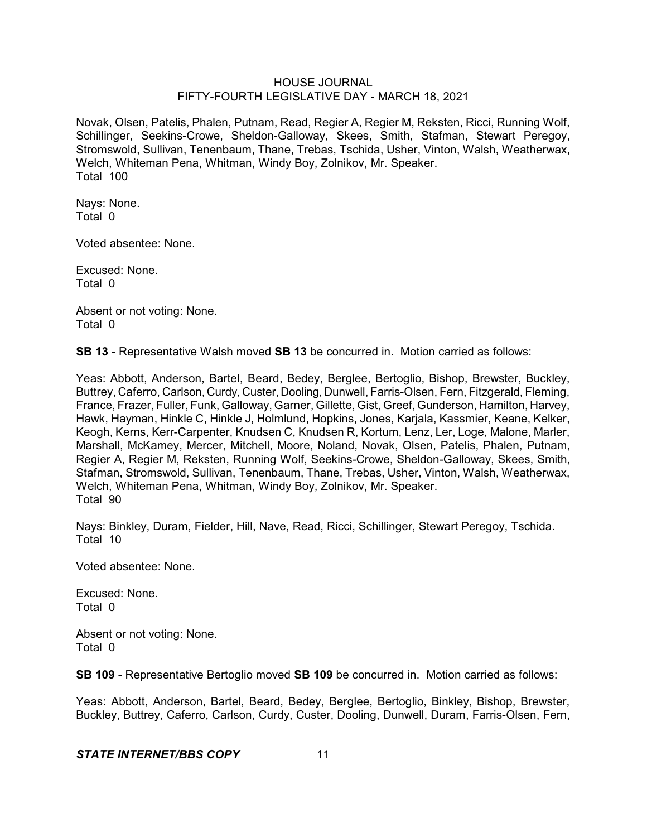Novak, Olsen, Patelis, Phalen, Putnam, Read, Regier A, Regier M, Reksten, Ricci, Running Wolf, Schillinger, Seekins-Crowe, Sheldon-Galloway, Skees, Smith, Stafman, Stewart Peregoy, Stromswold, Sullivan, Tenenbaum, Thane, Trebas, Tschida, Usher, Vinton, Walsh, Weatherwax, Welch, Whiteman Pena, Whitman, Windy Boy, Zolnikov, Mr. Speaker. Total 100

Nays: None. Total 0

Voted absentee: None.

Excused: None. Total 0

Absent or not voting: None. Total 0

**SB 13** - Representative Walsh moved **SB 13** be concurred in. Motion carried as follows:

Yeas: Abbott, Anderson, Bartel, Beard, Bedey, Berglee, Bertoglio, Bishop, Brewster, Buckley, Buttrey, Caferro, Carlson, Curdy, Custer, Dooling, Dunwell, Farris-Olsen, Fern, Fitzgerald, Fleming, France, Frazer, Fuller, Funk, Galloway, Garner, Gillette, Gist, Greef,Gunderson, Hamilton, Harvey, Hawk, Hayman, Hinkle C, Hinkle J, Holmlund, Hopkins, Jones, Karjala, Kassmier, Keane, Kelker, Keogh, Kerns, Kerr-Carpenter, Knudsen C, Knudsen R, Kortum, Lenz, Ler, Loge, Malone, Marler, Marshall, McKamey, Mercer, Mitchell, Moore, Noland, Novak, Olsen, Patelis, Phalen, Putnam, Regier A, Regier M, Reksten, Running Wolf, Seekins-Crowe, Sheldon-Galloway, Skees, Smith, Stafman, Stromswold, Sullivan, Tenenbaum, Thane, Trebas, Usher, Vinton, Walsh, Weatherwax, Welch, Whiteman Pena, Whitman, Windy Boy, Zolnikov, Mr. Speaker. Total 90

Nays: Binkley, Duram, Fielder, Hill, Nave, Read, Ricci, Schillinger, Stewart Peregoy, Tschida. Total 10

Voted absentee: None.

Excused: None. Total 0

Absent or not voting: None. Total 0

**SB 109** - Representative Bertoglio moved **SB 109** be concurred in. Motion carried as follows:

Yeas: Abbott, Anderson, Bartel, Beard, Bedey, Berglee, Bertoglio, Binkley, Bishop, Brewster, Buckley, Buttrey, Caferro, Carlson, Curdy, Custer, Dooling, Dunwell, Duram, Farris-Olsen, Fern,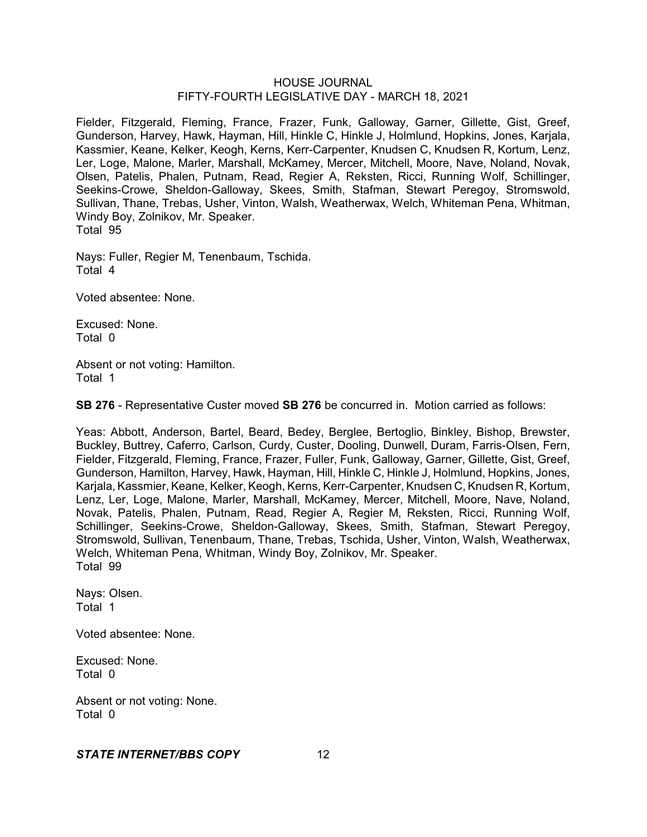Fielder, Fitzgerald, Fleming, France, Frazer, Funk, Galloway, Garner, Gillette, Gist, Greef, Gunderson, Harvey, Hawk, Hayman, Hill, Hinkle C, Hinkle J, Holmlund, Hopkins, Jones, Karjala, Kassmier, Keane, Kelker, Keogh, Kerns, Kerr-Carpenter, Knudsen C, Knudsen R, Kortum, Lenz, Ler, Loge, Malone, Marler, Marshall, McKamey, Mercer, Mitchell, Moore, Nave, Noland, Novak, Olsen, Patelis, Phalen, Putnam, Read, Regier A, Reksten, Ricci, Running Wolf, Schillinger, Seekins-Crowe, Sheldon-Galloway, Skees, Smith, Stafman, Stewart Peregoy, Stromswold, Sullivan, Thane, Trebas, Usher, Vinton, Walsh, Weatherwax, Welch, Whiteman Pena, Whitman, Windy Boy, Zolnikov, Mr. Speaker. Total 95

Nays: Fuller, Regier M, Tenenbaum, Tschida. Total 4

Voted absentee: None.

Excused: None. Total 0

Absent or not voting: Hamilton. Total 1

**SB 276** - Representative Custer moved **SB 276** be concurred in. Motion carried as follows:

Yeas: Abbott, Anderson, Bartel, Beard, Bedey, Berglee, Bertoglio, Binkley, Bishop, Brewster, Buckley, Buttrey, Caferro, Carlson, Curdy, Custer, Dooling, Dunwell, Duram, Farris-Olsen, Fern, Fielder, Fitzgerald, Fleming, France, Frazer, Fuller, Funk, Galloway, Garner, Gillette, Gist, Greef, Gunderson, Hamilton, Harvey, Hawk, Hayman, Hill, Hinkle C, Hinkle J, Holmlund, Hopkins, Jones, Karjala, Kassmier, Keane, Kelker, Keogh, Kerns, Kerr-Carpenter, Knudsen C, Knudsen R, Kortum, Lenz, Ler, Loge, Malone, Marler, Marshall, McKamey, Mercer, Mitchell, Moore, Nave, Noland, Novak, Patelis, Phalen, Putnam, Read, Regier A, Regier M, Reksten, Ricci, Running Wolf, Schillinger, Seekins-Crowe, Sheldon-Galloway, Skees, Smith, Stafman, Stewart Peregoy, Stromswold, Sullivan, Tenenbaum, Thane, Trebas, Tschida, Usher, Vinton, Walsh, Weatherwax, Welch, Whiteman Pena, Whitman, Windy Boy, Zolnikov, Mr. Speaker. Total 99

Nays: Olsen. Total 1

Voted absentee: None.

Excused: None. Total 0

Absent or not voting: None. Total 0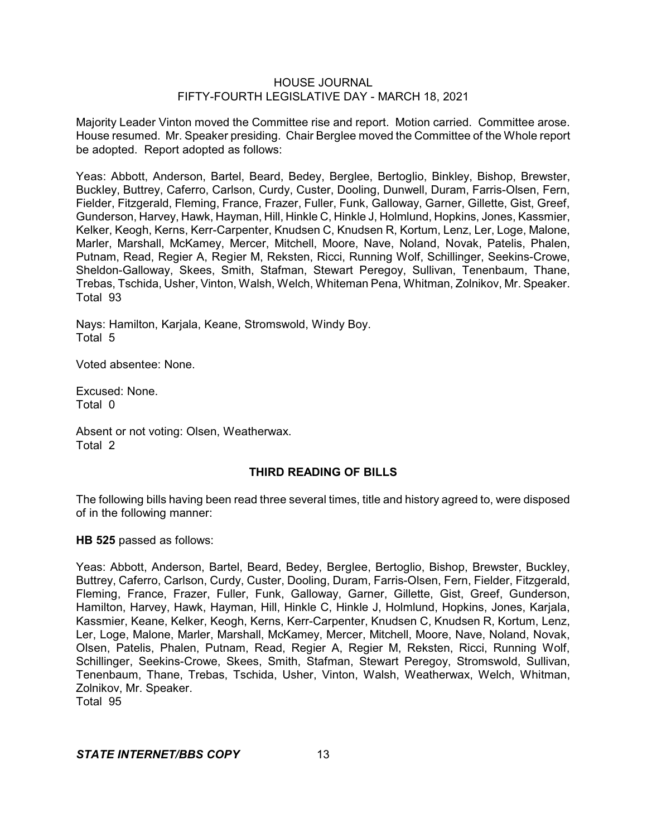Majority Leader Vinton moved the Committee rise and report. Motion carried. Committee arose. House resumed. Mr. Speaker presiding. Chair Berglee moved the Committee of the Whole report be adopted. Report adopted as follows:

Yeas: Abbott, Anderson, Bartel, Beard, Bedey, Berglee, Bertoglio, Binkley, Bishop, Brewster, Buckley, Buttrey, Caferro, Carlson, Curdy, Custer, Dooling, Dunwell, Duram, Farris-Olsen, Fern, Fielder, Fitzgerald, Fleming, France, Frazer, Fuller, Funk, Galloway, Garner, Gillette, Gist, Greef, Gunderson, Harvey, Hawk, Hayman, Hill, Hinkle C, Hinkle J, Holmlund, Hopkins, Jones, Kassmier, Kelker, Keogh, Kerns, Kerr-Carpenter, Knudsen C, Knudsen R, Kortum, Lenz, Ler, Loge, Malone, Marler, Marshall, McKamey, Mercer, Mitchell, Moore, Nave, Noland, Novak, Patelis, Phalen, Putnam, Read, Regier A, Regier M, Reksten, Ricci, Running Wolf, Schillinger, Seekins-Crowe, Sheldon-Galloway, Skees, Smith, Stafman, Stewart Peregoy, Sullivan, Tenenbaum, Thane, Trebas, Tschida, Usher, Vinton, Walsh, Welch, Whiteman Pena, Whitman, Zolnikov, Mr. Speaker. Total 93

Nays: Hamilton, Karjala, Keane, Stromswold, Windy Boy. Total 5

Voted absentee: None.

Excused: None. Total 0

Absent or not voting: Olsen, Weatherwax. Total 2

### **THIRD READING OF BILLS**

The following bills having been read three several times, title and history agreed to, were disposed of in the following manner:

**HB 525** passed as follows:

Yeas: Abbott, Anderson, Bartel, Beard, Bedey, Berglee, Bertoglio, Bishop, Brewster, Buckley, Buttrey, Caferro, Carlson, Curdy, Custer, Dooling, Duram, Farris-Olsen, Fern, Fielder, Fitzgerald, Fleming, France, Frazer, Fuller, Funk, Galloway, Garner, Gillette, Gist, Greef, Gunderson, Hamilton, Harvey, Hawk, Hayman, Hill, Hinkle C, Hinkle J, Holmlund, Hopkins, Jones, Karjala, Kassmier, Keane, Kelker, Keogh, Kerns, Kerr-Carpenter, Knudsen C, Knudsen R, Kortum, Lenz, Ler, Loge, Malone, Marler, Marshall, McKamey, Mercer, Mitchell, Moore, Nave, Noland, Novak, Olsen, Patelis, Phalen, Putnam, Read, Regier A, Regier M, Reksten, Ricci, Running Wolf, Schillinger, Seekins-Crowe, Skees, Smith, Stafman, Stewart Peregoy, Stromswold, Sullivan, Tenenbaum, Thane, Trebas, Tschida, Usher, Vinton, Walsh, Weatherwax, Welch, Whitman, Zolnikov, Mr. Speaker. Total 95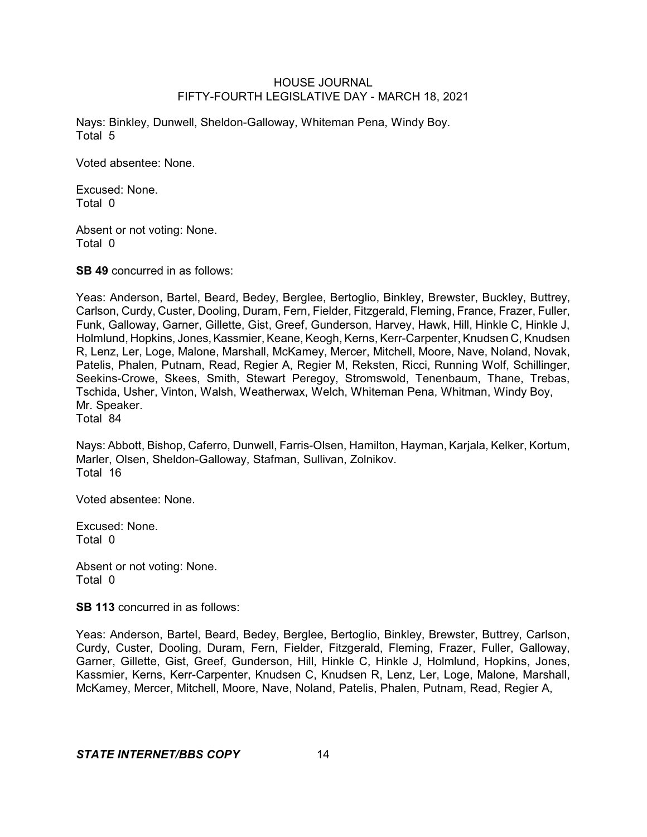Nays: Binkley, Dunwell, Sheldon-Galloway, Whiteman Pena, Windy Boy. Total 5

Voted absentee: None.

Excused: None. Total 0

Absent or not voting: None. Total 0

**SB 49** concurred in as follows:

Yeas: Anderson, Bartel, Beard, Bedey, Berglee, Bertoglio, Binkley, Brewster, Buckley, Buttrey, Carlson, Curdy, Custer, Dooling, Duram, Fern, Fielder, Fitzgerald, Fleming, France, Frazer, Fuller, Funk, Galloway, Garner, Gillette, Gist, Greef, Gunderson, Harvey, Hawk, Hill, Hinkle C, Hinkle J, Holmlund, Hopkins, Jones, Kassmier, Keane, Keogh, Kerns, Kerr-Carpenter, Knudsen C, Knudsen R, Lenz, Ler, Loge, Malone, Marshall, McKamey, Mercer, Mitchell, Moore, Nave, Noland, Novak, Patelis, Phalen, Putnam, Read, Regier A, Regier M, Reksten, Ricci, Running Wolf, Schillinger, Seekins-Crowe, Skees, Smith, Stewart Peregoy, Stromswold, Tenenbaum, Thane, Trebas, Tschida, Usher, Vinton, Walsh, Weatherwax, Welch, Whiteman Pena, Whitman, Windy Boy, Mr. Speaker. Total 84

Nays: Abbott, Bishop, Caferro, Dunwell, Farris-Olsen, Hamilton, Hayman, Karjala, Kelker, Kortum, Marler, Olsen, Sheldon-Galloway, Stafman, Sullivan, Zolnikov. Total 16

Voted absentee: None.

Excused: None. Total 0

Absent or not voting: None. Total 0

**SB 113** concurred in as follows:

Yeas: Anderson, Bartel, Beard, Bedey, Berglee, Bertoglio, Binkley, Brewster, Buttrey, Carlson, Curdy, Custer, Dooling, Duram, Fern, Fielder, Fitzgerald, Fleming, Frazer, Fuller, Galloway, Garner, Gillette, Gist, Greef, Gunderson, Hill, Hinkle C, Hinkle J, Holmlund, Hopkins, Jones, Kassmier, Kerns, Kerr-Carpenter, Knudsen C, Knudsen R, Lenz, Ler, Loge, Malone, Marshall, McKamey, Mercer, Mitchell, Moore, Nave, Noland, Patelis, Phalen, Putnam, Read, Regier A,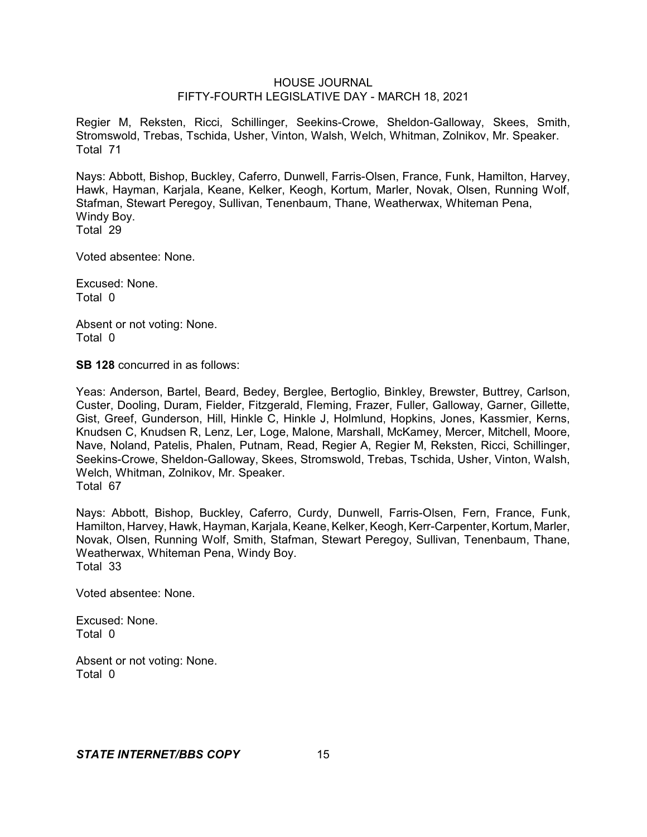Regier M, Reksten, Ricci, Schillinger, Seekins-Crowe, Sheldon-Galloway, Skees, Smith, Stromswold, Trebas, Tschida, Usher, Vinton, Walsh, Welch, Whitman, Zolnikov, Mr. Speaker. Total 71

Nays: Abbott, Bishop, Buckley, Caferro, Dunwell, Farris-Olsen, France, Funk, Hamilton, Harvey, Hawk, Hayman, Karjala, Keane, Kelker, Keogh, Kortum, Marler, Novak, Olsen, Running Wolf, Stafman, Stewart Peregoy, Sullivan, Tenenbaum, Thane, Weatherwax, Whiteman Pena, Windy Boy. Total 29

Voted absentee: None.

Excused: None. Total 0

Absent or not voting: None. Total 0

**SB 128** concurred in as follows:

Yeas: Anderson, Bartel, Beard, Bedey, Berglee, Bertoglio, Binkley, Brewster, Buttrey, Carlson, Custer, Dooling, Duram, Fielder, Fitzgerald, Fleming, Frazer, Fuller, Galloway, Garner, Gillette, Gist, Greef, Gunderson, Hill, Hinkle C, Hinkle J, Holmlund, Hopkins, Jones, Kassmier, Kerns, Knudsen C, Knudsen R, Lenz, Ler, Loge, Malone, Marshall, McKamey, Mercer, Mitchell, Moore, Nave, Noland, Patelis, Phalen, Putnam, Read, Regier A, Regier M, Reksten, Ricci, Schillinger, Seekins-Crowe, Sheldon-Galloway, Skees, Stromswold, Trebas, Tschida, Usher, Vinton, Walsh, Welch, Whitman, Zolnikov, Mr. Speaker. Total 67

Nays: Abbott, Bishop, Buckley, Caferro, Curdy, Dunwell, Farris-Olsen, Fern, France, Funk, Hamilton, Harvey, Hawk, Hayman, Karjala, Keane, Kelker, Keogh, Kerr-Carpenter, Kortum, Marler, Novak, Olsen, Running Wolf, Smith, Stafman, Stewart Peregoy, Sullivan, Tenenbaum, Thane, Weatherwax, Whiteman Pena, Windy Boy. Total 33

Voted absentee: None.

Excused: None. Total 0

Absent or not voting: None. Total 0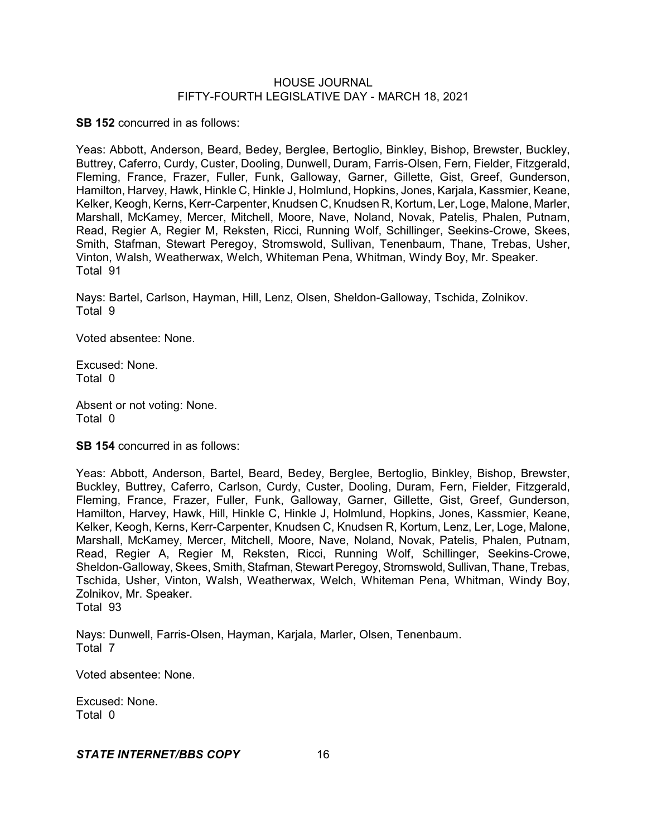**SB 152** concurred in as follows:

Yeas: Abbott, Anderson, Beard, Bedey, Berglee, Bertoglio, Binkley, Bishop, Brewster, Buckley, Buttrey, Caferro, Curdy, Custer, Dooling, Dunwell, Duram, Farris-Olsen, Fern, Fielder, Fitzgerald, Fleming, France, Frazer, Fuller, Funk, Galloway, Garner, Gillette, Gist, Greef, Gunderson, Hamilton, Harvey, Hawk, Hinkle C, Hinkle J, Holmlund, Hopkins, Jones, Karjala, Kassmier, Keane, Kelker, Keogh, Kerns, Kerr-Carpenter, Knudsen C, Knudsen R, Kortum, Ler, Loge, Malone, Marler, Marshall, McKamey, Mercer, Mitchell, Moore, Nave, Noland, Novak, Patelis, Phalen, Putnam, Read, Regier A, Regier M, Reksten, Ricci, Running Wolf, Schillinger, Seekins-Crowe, Skees, Smith, Stafman, Stewart Peregoy, Stromswold, Sullivan, Tenenbaum, Thane, Trebas, Usher, Vinton, Walsh, Weatherwax, Welch, Whiteman Pena, Whitman, Windy Boy, Mr. Speaker. Total 91

Nays: Bartel, Carlson, Hayman, Hill, Lenz, Olsen, Sheldon-Galloway, Tschida, Zolnikov. Total 9

Voted absentee: None.

Excused: None. Total 0

Absent or not voting: None. Total 0

**SB 154** concurred in as follows:

Yeas: Abbott, Anderson, Bartel, Beard, Bedey, Berglee, Bertoglio, Binkley, Bishop, Brewster, Buckley, Buttrey, Caferro, Carlson, Curdy, Custer, Dooling, Duram, Fern, Fielder, Fitzgerald, Fleming, France, Frazer, Fuller, Funk, Galloway, Garner, Gillette, Gist, Greef, Gunderson, Hamilton, Harvey, Hawk, Hill, Hinkle C, Hinkle J, Holmlund, Hopkins, Jones, Kassmier, Keane, Kelker, Keogh, Kerns, Kerr-Carpenter, Knudsen C, Knudsen R, Kortum, Lenz, Ler, Loge, Malone, Marshall, McKamey, Mercer, Mitchell, Moore, Nave, Noland, Novak, Patelis, Phalen, Putnam, Read, Regier A, Regier M, Reksten, Ricci, Running Wolf, Schillinger, Seekins-Crowe, Sheldon-Galloway, Skees, Smith, Stafman, Stewart Peregoy, Stromswold, Sullivan, Thane, Trebas, Tschida, Usher, Vinton, Walsh, Weatherwax, Welch, Whiteman Pena, Whitman, Windy Boy, Zolnikov, Mr. Speaker. Total 93

Nays: Dunwell, Farris-Olsen, Hayman, Karjala, Marler, Olsen, Tenenbaum. Total 7

Voted absentee: None.

Excused: None. Total 0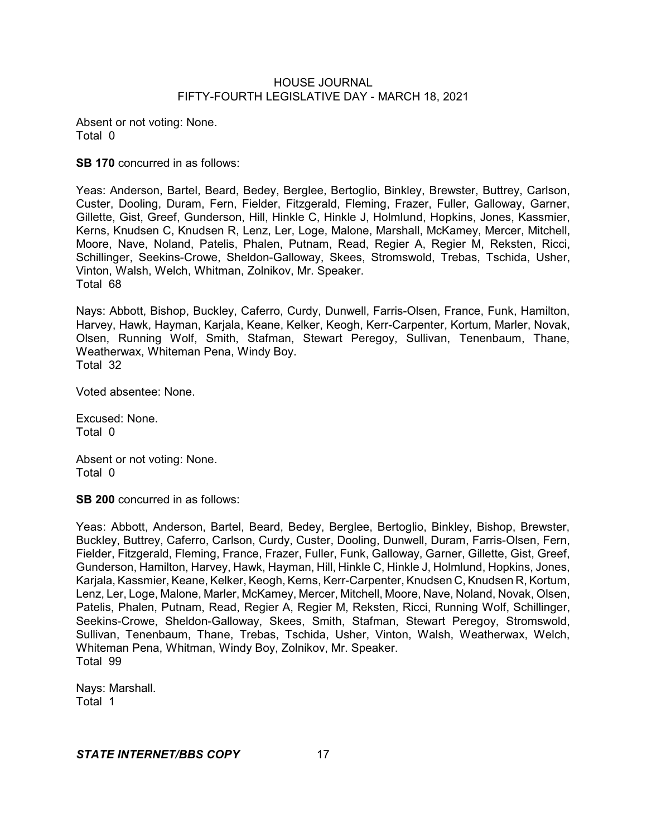Absent or not voting: None. Total 0

**SB 170** concurred in as follows:

Yeas: Anderson, Bartel, Beard, Bedey, Berglee, Bertoglio, Binkley, Brewster, Buttrey, Carlson, Custer, Dooling, Duram, Fern, Fielder, Fitzgerald, Fleming, Frazer, Fuller, Galloway, Garner, Gillette, Gist, Greef, Gunderson, Hill, Hinkle C, Hinkle J, Holmlund, Hopkins, Jones, Kassmier, Kerns, Knudsen C, Knudsen R, Lenz, Ler, Loge, Malone, Marshall, McKamey, Mercer, Mitchell, Moore, Nave, Noland, Patelis, Phalen, Putnam, Read, Regier A, Regier M, Reksten, Ricci, Schillinger, Seekins-Crowe, Sheldon-Galloway, Skees, Stromswold, Trebas, Tschida, Usher, Vinton, Walsh, Welch, Whitman, Zolnikov, Mr. Speaker. Total 68

Nays: Abbott, Bishop, Buckley, Caferro, Curdy, Dunwell, Farris-Olsen, France, Funk, Hamilton, Harvey, Hawk, Hayman, Karjala, Keane, Kelker, Keogh, Kerr-Carpenter, Kortum, Marler, Novak, Olsen, Running Wolf, Smith, Stafman, Stewart Peregoy, Sullivan, Tenenbaum, Thane, Weatherwax, Whiteman Pena, Windy Boy. Total 32

Voted absentee: None.

Excused: None. Total 0

Absent or not voting: None. Total 0

**SB 200** concurred in as follows:

Yeas: Abbott, Anderson, Bartel, Beard, Bedey, Berglee, Bertoglio, Binkley, Bishop, Brewster, Buckley, Buttrey, Caferro, Carlson, Curdy, Custer, Dooling, Dunwell, Duram, Farris-Olsen, Fern, Fielder, Fitzgerald, Fleming, France, Frazer, Fuller, Funk, Galloway, Garner, Gillette, Gist, Greef, Gunderson, Hamilton, Harvey, Hawk, Hayman, Hill, Hinkle C, Hinkle J, Holmlund, Hopkins, Jones, Karjala, Kassmier, Keane, Kelker, Keogh, Kerns, Kerr-Carpenter, Knudsen C, Knudsen R, Kortum, Lenz, Ler, Loge, Malone, Marler, McKamey, Mercer, Mitchell, Moore, Nave, Noland, Novak, Olsen, Patelis, Phalen, Putnam, Read, Regier A, Regier M, Reksten, Ricci, Running Wolf, Schillinger, Seekins-Crowe, Sheldon-Galloway, Skees, Smith, Stafman, Stewart Peregoy, Stromswold, Sullivan, Tenenbaum, Thane, Trebas, Tschida, Usher, Vinton, Walsh, Weatherwax, Welch, Whiteman Pena, Whitman, Windy Boy, Zolnikov, Mr. Speaker. Total 99

Nays: Marshall. Total 1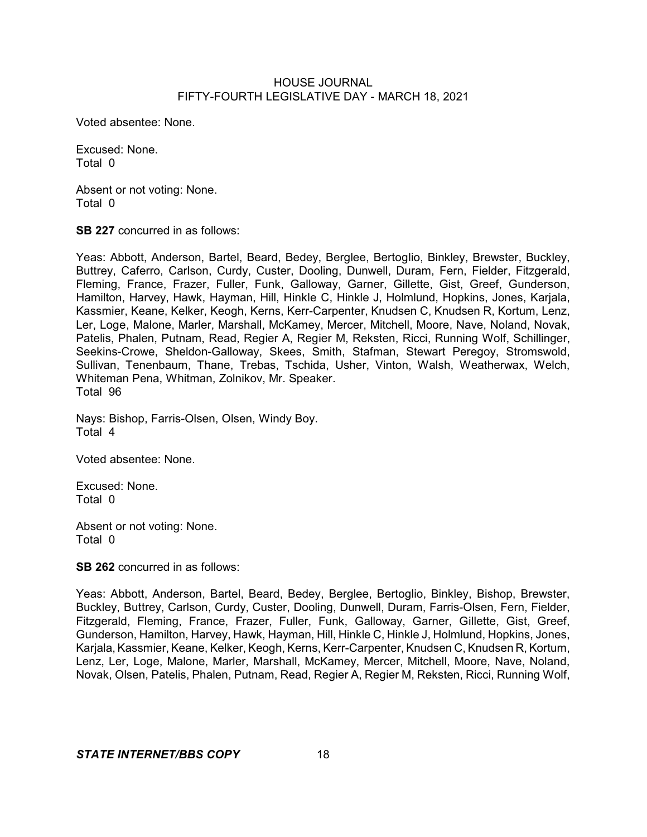Voted absentee: None.

Excused: None. Total 0

Absent or not voting: None. Total 0

**SB 227** concurred in as follows:

Yeas: Abbott, Anderson, Bartel, Beard, Bedey, Berglee, Bertoglio, Binkley, Brewster, Buckley, Buttrey, Caferro, Carlson, Curdy, Custer, Dooling, Dunwell, Duram, Fern, Fielder, Fitzgerald, Fleming, France, Frazer, Fuller, Funk, Galloway, Garner, Gillette, Gist, Greef, Gunderson, Hamilton, Harvey, Hawk, Hayman, Hill, Hinkle C, Hinkle J, Holmlund, Hopkins, Jones, Karjala, Kassmier, Keane, Kelker, Keogh, Kerns, Kerr-Carpenter, Knudsen C, Knudsen R, Kortum, Lenz, Ler, Loge, Malone, Marler, Marshall, McKamey, Mercer, Mitchell, Moore, Nave, Noland, Novak, Patelis, Phalen, Putnam, Read, Regier A, Regier M, Reksten, Ricci, Running Wolf, Schillinger, Seekins-Crowe, Sheldon-Galloway, Skees, Smith, Stafman, Stewart Peregoy, Stromswold, Sullivan, Tenenbaum, Thane, Trebas, Tschida, Usher, Vinton, Walsh, Weatherwax, Welch, Whiteman Pena, Whitman, Zolnikov, Mr. Speaker. Total 96

Nays: Bishop, Farris-Olsen, Olsen, Windy Boy. Total 4

Voted absentee: None.

Excused: None. Total 0

Absent or not voting: None. Total 0

**SB 262** concurred in as follows:

Yeas: Abbott, Anderson, Bartel, Beard, Bedey, Berglee, Bertoglio, Binkley, Bishop, Brewster, Buckley, Buttrey, Carlson, Curdy, Custer, Dooling, Dunwell, Duram, Farris-Olsen, Fern, Fielder, Fitzgerald, Fleming, France, Frazer, Fuller, Funk, Galloway, Garner, Gillette, Gist, Greef, Gunderson, Hamilton, Harvey, Hawk, Hayman, Hill, Hinkle C, Hinkle J, Holmlund, Hopkins, Jones, Karjala, Kassmier, Keane, Kelker, Keogh, Kerns, Kerr-Carpenter, Knudsen C, Knudsen R, Kortum, Lenz, Ler, Loge, Malone, Marler, Marshall, McKamey, Mercer, Mitchell, Moore, Nave, Noland, Novak, Olsen, Patelis, Phalen, Putnam, Read, Regier A, Regier M, Reksten, Ricci, Running Wolf,